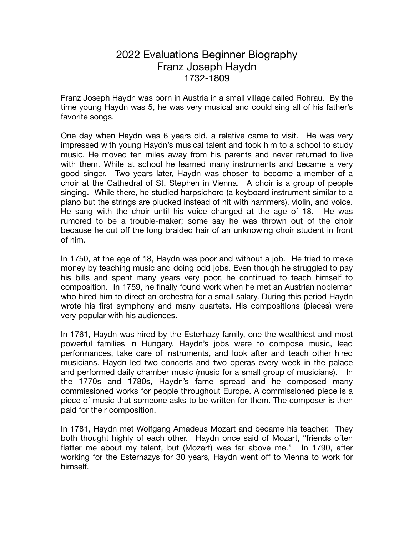## 2022 Evaluations Beginner Biography Franz Joseph Haydn 1732-1809

Franz Joseph Haydn was born in Austria in a small village called Rohrau. By the time young Haydn was 5, he was very musical and could sing all of his father's favorite songs.

One day when Haydn was 6 years old, a relative came to visit. He was very impressed with young Haydn's musical talent and took him to a school to study music. He moved ten miles away from his parents and never returned to live with them. While at school he learned many instruments and became a very good singer. Two years later, Haydn was chosen to become a member of a choir at the Cathedral of St. Stephen in Vienna. A choir is a group of people singing. While there, he studied harpsichord (a keyboard instrument similar to a piano but the strings are plucked instead of hit with hammers), violin, and voice. He sang with the choir until his voice changed at the age of 18. He was rumored to be a trouble-maker; some say he was thrown out of the choir because he cut off the long braided hair of an unknowing choir student in front of him.

In 1750, at the age of 18, Haydn was poor and without a job. He tried to make money by teaching music and doing odd jobs. Even though he struggled to pay his bills and spent many years very poor, he continued to teach himself to composition. In 1759, he finally found work when he met an Austrian nobleman who hired him to direct an orchestra for a small salary. During this period Haydn wrote his first symphony and many quartets. His compositions (pieces) were very popular with his audiences.

In 1761, Haydn was hired by the Esterhazy family, one the wealthiest and most powerful families in Hungary. Haydn's jobs were to compose music, lead performances, take care of instruments, and look after and teach other hired musicians. Haydn led two concerts and two operas every week in the palace and performed daily chamber music (music for a small group of musicians). In the 1770s and 1780s, Haydn's fame spread and he composed many commissioned works for people throughout Europe. A commissioned piece is a piece of music that someone asks to be written for them. The composer is then paid for their composition.

In 1781, Haydn met Wolfgang Amadeus Mozart and became his teacher. They both thought highly of each other. Haydn once said of Mozart, "friends often flatter me about my talent, but (Mozart) was far above me." In 1790, after working for the Esterhazys for 30 years, Haydn went off to Vienna to work for himself.